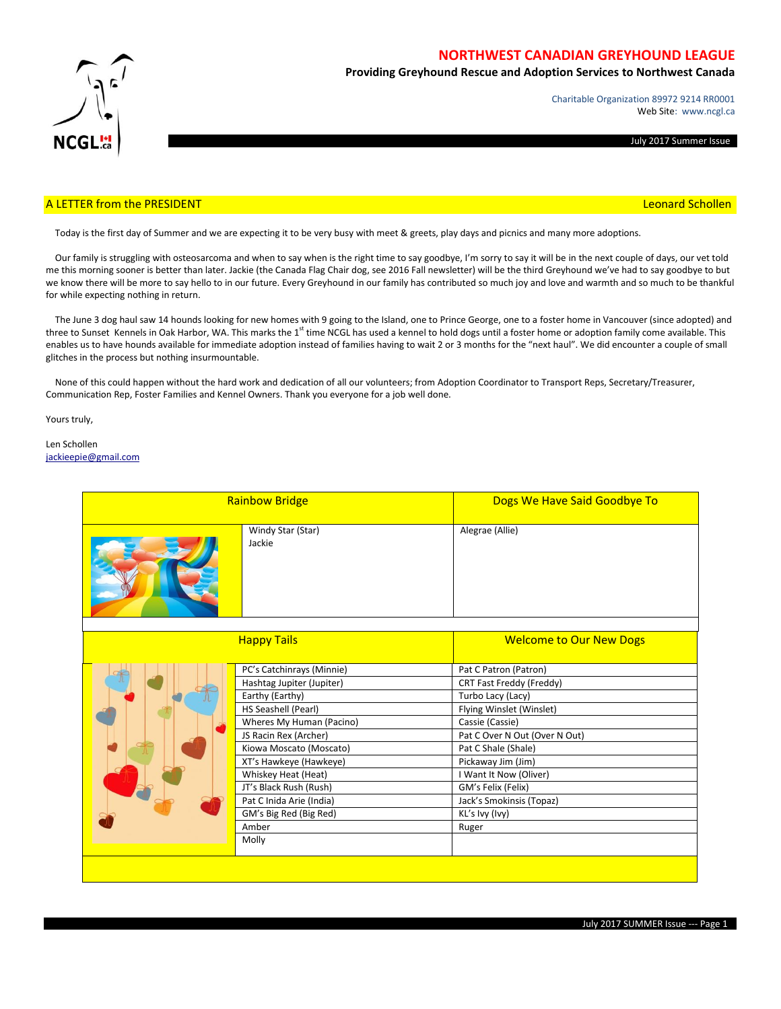

# **NORTHWEST CANADIAN GREYHOUND LEAGUE**

**Providing Greyhound Rescue and Adoption Services to Northwest Canada**

Charitable Organization 89972 9214 RR0001 Web Site: www.ncgl.ca

July 2017 Summer Issue

## A LETTER from the PRESIDENT **Leonard Schollen** and the Control of the Control of the Control of the Control of the Control of the Control of the Control of the Control of the Control of the Control of the Control of the Co

Today is the first day of Summer and we are expecting it to be very busy with meet & greets, play days and picnics and many more adoptions.

 Our family is struggling with osteosarcoma and when to say when is the right time to say goodbye, I'm sorry to say it will be in the next couple of days, our vet told me this morning sooner is better than later. Jackie (the Canada Flag Chair dog, see 2016 Fall newsletter) will be the third Greyhound we've had to say goodbye to but we know there will be more to say hello to in our future. Every Greyhound in our family has contributed so much joy and love and warmth and so much to be thankful for while expecting nothing in return.

 The June 3 dog haul saw 14 hounds looking for new homes with 9 going to the Island, one to Prince George, one to a foster home in Vancouver (since adopted) and three to Sunset Kennels in Oak Harbor, WA. This marks the 1<sup>st</sup> time NCGL has used a kennel to hold dogs until a foster home or adoption family come available. This enables us to have hounds available for immediate adoption instead of families having to wait 2 or 3 months for the "next haul". We did encounter a couple of small glitches in the process but nothing insurmountable.

 None of this could happen without the hard work and dedication of all our volunteers; from Adoption Coordinator to Transport Reps, Secretary/Treasurer, Communication Rep, Foster Families and Kennel Owners. Thank you everyone for a job well done.

Yours truly,

Len Schollen [jackieepie@gmail.com](mailto:jackieepie@gmail.com)

| <b>Rainbow Bridge</b> |                                                                                                                                                                                                                                                                                                                                     | Dogs We Have Said Goodbye To                                                                                                                                                                                                                                                                               |  |
|-----------------------|-------------------------------------------------------------------------------------------------------------------------------------------------------------------------------------------------------------------------------------------------------------------------------------------------------------------------------------|------------------------------------------------------------------------------------------------------------------------------------------------------------------------------------------------------------------------------------------------------------------------------------------------------------|--|
|                       | Windy Star (Star)<br>Jackie                                                                                                                                                                                                                                                                                                         | Alegrae (Allie)                                                                                                                                                                                                                                                                                            |  |
| <b>Happy Tails</b>    |                                                                                                                                                                                                                                                                                                                                     | <b>Welcome to Our New Dogs</b>                                                                                                                                                                                                                                                                             |  |
|                       | PC's Catchinrays (Minnie)<br>Hashtag Jupiter (Jupiter)<br>Earthy (Earthy)<br>HS Seashell (Pearl)<br>Wheres My Human (Pacino)<br>JS Racin Rex (Archer)<br>Kiowa Moscato (Moscato)<br>XT's Hawkeye (Hawkeye)<br>Whiskey Heat (Heat)<br>JT's Black Rush (Rush)<br>Pat C Inida Arie (India)<br>GM's Big Red (Big Red)<br>Amber<br>Molly | Pat C Patron (Patron)<br>CRT Fast Freddy (Freddy)<br>Turbo Lacy (Lacy)<br>Flying Winslet (Winslet)<br>Cassie (Cassie)<br>Pat C Over N Out (Over N Out)<br>Pat C Shale (Shale)<br>Pickaway Jim (Jim)<br>I Want It Now (Oliver)<br>GM's Felix (Felix)<br>Jack's Smokinsis (Topaz)<br>KL's Ivy (Ivy)<br>Ruger |  |
|                       |                                                                                                                                                                                                                                                                                                                                     |                                                                                                                                                                                                                                                                                                            |  |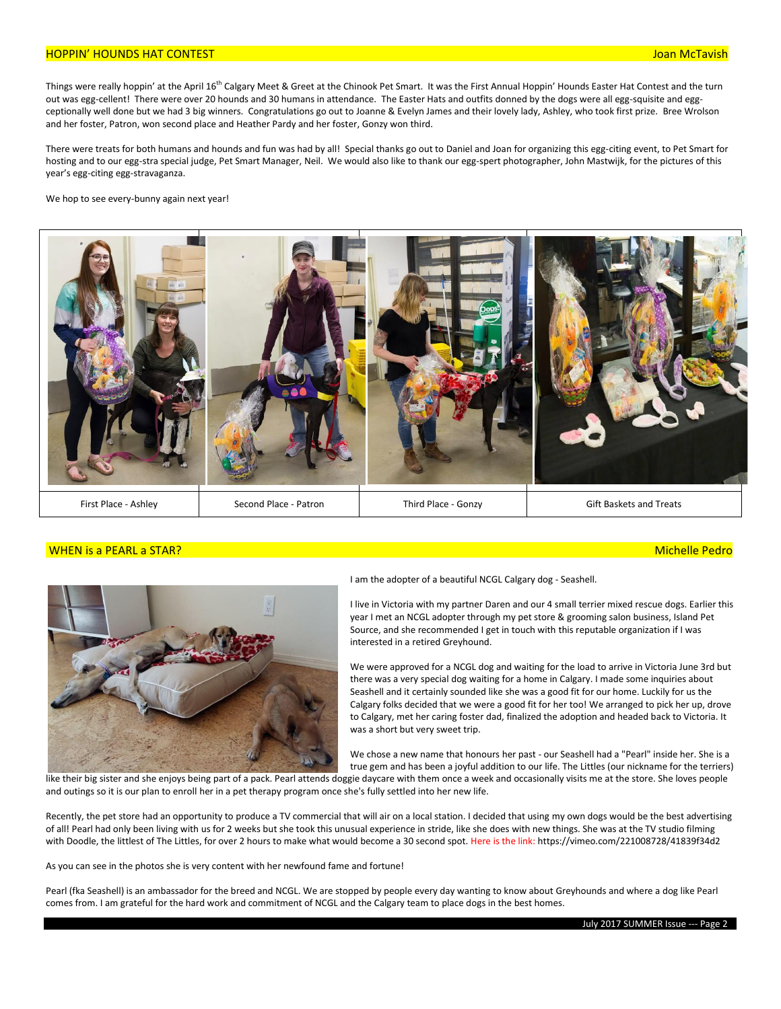## HOPPIN' HOUNDS HAT CONTEST Joan McTavish

Things were really hoppin' at the April 16<sup>th</sup> Calgary Meet & Greet at the Chinook Pet Smart. It was the First Annual Hoppin' Hounds Easter Hat Contest and the turn out was egg-cellent! There were over 20 hounds and 30 humans in attendance. The Easter Hats and outfits donned by the dogs were all egg-squisite and eggceptionally well done but we had 3 big winners. Congratulations go out to Joanne & Evelyn James and their lovely lady, Ashley, who took first prize. Bree Wrolson and her foster, Patron, won second place and Heather Pardy and her foster, Gonzy won third.

There were treats for both humans and hounds and fun was had by all! Special thanks go out to Daniel and Joan for organizing this egg-citing event, to Pet Smart for hosting and to our egg-stra special judge, Pet Smart Manager, Neil. We would also like to thank our egg-spert photographer, John Mastwijk, for the pictures of this year's egg-citing egg-stravaganza.

We hop to see every-bunny again next year!



## WHEN is a PEARL a STAR? Michelle Pedro



I am the adopter of a beautiful NCGL Calgary dog - Seashell.

I live in Victoria with my partner Daren and our 4 small terrier mixed rescue dogs. Earlier this year I met an NCGL adopter through my pet store & grooming salon business, Island Pet Source, and she recommended I get in touch with this reputable organization if I was interested in a retired Greyhound.

We were approved for a NCGL dog and waiting for the load to arrive in Victoria June 3rd but there was a very special dog waiting for a home in Calgary. I made some inquiries about Seashell and it certainly sounded like she was a good fit for our home. Luckily for us the Calgary folks decided that we were a good fit for her too! We arranged to pick her up, drove to Calgary, met her caring foster dad, finalized the adoption and headed back to Victoria. It was a short but very sweet trip.

We chose a new name that honours her past - our Seashell had a "Pearl" inside her. She is a true gem and has been a joyful addition to our life. The Littles (our nickname for the terriers)

like their big sister and she enjoys being part of a pack. Pearl attends doggie daycare with them once a week and occasionally visits me at the store. She loves people and outings so it is our plan to enroll her in a pet therapy program once she's fully settled into her new life.

Recently, the pet store had an opportunity to produce a TV commercial that will air on a local station. I decided that using my own dogs would be the best advertising of all! Pearl had only been living with us for 2 weeks but she took this unusual experience in stride, like she does with new things. She was at the TV studio filming with Doodle, the littlest of The Littles, for over 2 hours to make what would become a 30 second spot. Here is the link: https://vimeo.com/221008728/41839f34d2

As you can see in the photos she is very content with her newfound fame and fortune!

Pearl (fka Seashell) is an ambassador for the breed and NCGL. We are stopped by people every day wanting to know about Greyhounds and where a dog like Pearl comes from. I am grateful for the hard work and commitment of NCGL and the Calgary team to place dogs in the best homes.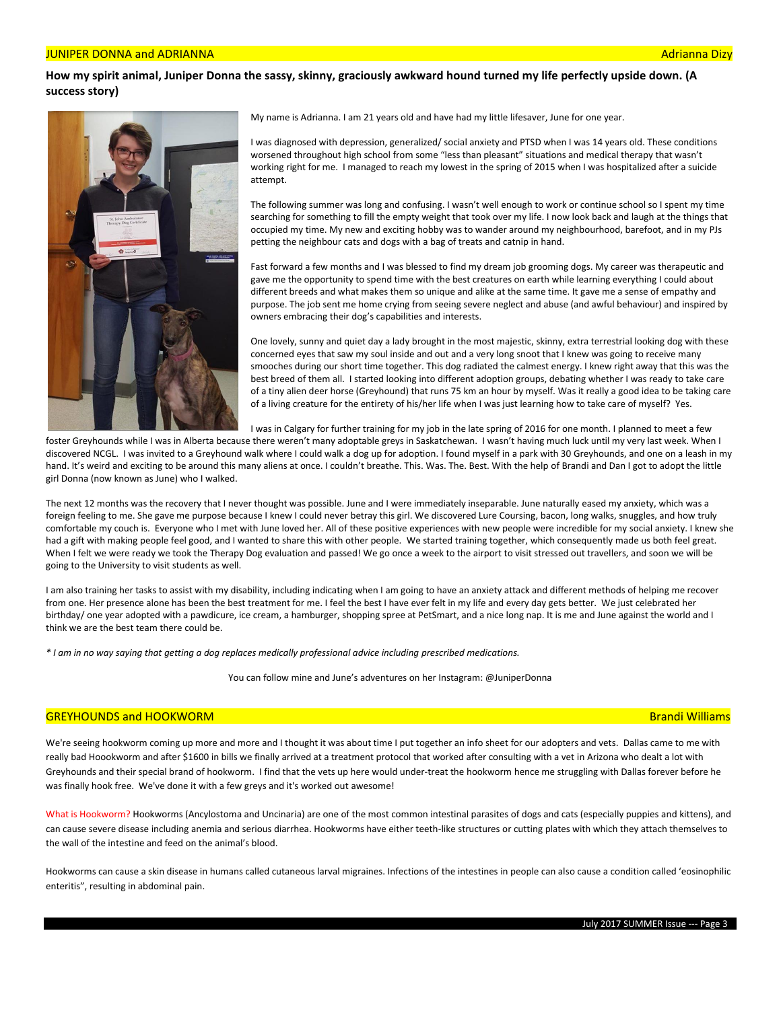#### JUNIPER DONNA and ADRIANNA Adrianna Dizy

## **How my spirit animal, Juniper Donna the sassy, skinny, graciously awkward hound turned my life perfectly upside down. (A success story)**



My name is Adrianna. I am 21 years old and have had my little lifesaver, June for one year.

I was diagnosed with depression, generalized/ social anxiety and PTSD when I was 14 years old. These conditions worsened throughout high school from some "less than pleasant" situations and medical therapy that wasn't working right for me. I managed to reach my lowest in the spring of 2015 when I was hospitalized after a suicide attempt.

The following summer was long and confusing. I wasn't well enough to work or continue school so I spent my time searching for something to fill the empty weight that took over my life. I now look back and laugh at the things that occupied my time. My new and exciting hobby was to wander around my neighbourhood, barefoot, and in my PJs petting the neighbour cats and dogs with a bag of treats and catnip in hand.

Fast forward a few months and I was blessed to find my dream job grooming dogs. My career was therapeutic and gave me the opportunity to spend time with the best creatures on earth while learning everything I could about different breeds and what makes them so unique and alike at the same time. It gave me a sense of empathy and purpose. The job sent me home crying from seeing severe neglect and abuse (and awful behaviour) and inspired by owners embracing their dog's capabilities and interests.

One lovely, sunny and quiet day a lady brought in the most majestic, skinny, extra terrestrial looking dog with these concerned eyes that saw my soul inside and out and a very long snoot that I knew was going to receive many smooches during our short time together. This dog radiated the calmest energy. I knew right away that this was the best breed of them all. I started looking into different adoption groups, debating whether I was ready to take care of a tiny alien deer horse (Greyhound) that runs 75 km an hour by myself. Was it really a good idea to be taking care of a living creature for the entirety of his/her life when I was just learning how to take care of myself? Yes.

I was in Calgary for further training for my job in the late spring of 2016 for one month. I planned to meet a few

foster Greyhounds while I was in Alberta because there weren't many adoptable greys in Saskatchewan. I wasn't having much luck until my very last week. When I discovered NCGL. I was invited to a Greyhound walk where I could walk a dog up for adoption. I found myself in a park with 30 Greyhounds, and one on a leash in my hand. It's weird and exciting to be around this many aliens at once. I couldn't breathe. This. Was. The. Best. With the help of Brandi and Dan I got to adopt the little girl Donna (now known as June) who I walked.

The next 12 months was the recovery that I never thought was possible. June and I were immediately inseparable. June naturally eased my anxiety, which was a foreign feeling to me. She gave me purpose because I knew I could never betray this girl. We discovered Lure Coursing, bacon, long walks, snuggles, and how truly comfortable my couch is. Everyone who I met with June loved her. All of these positive experiences with new people were incredible for my social anxiety. I knew she had a gift with making people feel good, and I wanted to share this with other people. We started training together, which consequently made us both feel great. When I felt we were ready we took the Therapy Dog evaluation and passed! We go once a week to the airport to visit stressed out travellers, and soon we will be going to the University to visit students as well.

I am also training her tasks to assist with my disability, including indicating when I am going to have an anxiety attack and different methods of helping me recover from one. Her presence alone has been the best treatment for me. I feel the best I have ever felt in my life and every day gets better. We just celebrated her birthday/ one year adopted with a pawdicure, ice cream, a hamburger, shopping spree at PetSmart, and a nice long nap. It is me and June against the world and I think we are the best team there could be.

*\* I am in no way saying that getting a dog replaces medically professional advice including prescribed medications.*

You can follow mine and June's adventures on her Instagram: @JuniperDonna

#### GREYHOUNDS and HOOKWORM Brandi Williams

We're seeing hookworm coming up more and more and I thought it was about time I put together an info sheet for our adopters and vets. Dallas came to me with really bad Hoookworm and after \$1600 in bills we finally arrived at a treatment protocol that worked after consulting with a vet in Arizona who dealt a lot with Greyhounds and their special brand of hookworm. I find that the vets up here would under-treat the hookworm hence me struggling with Dallas forever before he was finally hook free. We've done it with a few greys and it's worked out awesome!

What is Hookworm? Hookworms (Ancylostoma and Uncinaria) are one of the most common intestinal parasites of dogs and cats (especially puppies and kittens), and can cause severe disease including anemia and serious diarrhea. Hookworms have either teeth-like structures or cutting plates with which they attach themselves to the wall of the intestine and feed on the animal's blood.

Hookworms can cause a skin disease in humans called cutaneous larval migraines. Infections of the intestines in people can also cause a condition called 'eosinophilic enteritis", resulting in abdominal pain.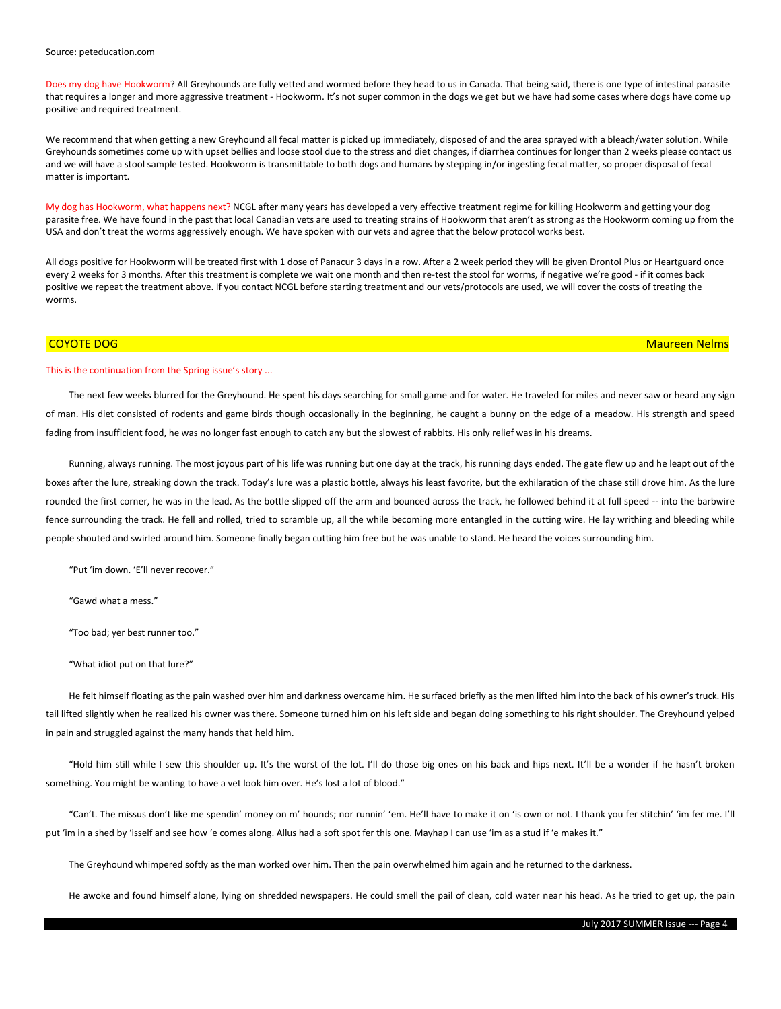#### Source: peteducation.com

Does my dog have Hookworm? All Greyhounds are fully vetted and wormed before they head to us in Canada. That being said, there is one type of intestinal parasite that requires a longer and more aggressive treatment - Hookworm. It's not super common in the dogs we get but we have had some cases where dogs have come up positive and required treatment.

We recommend that when getting a new Greyhound all fecal matter is picked up immediately, disposed of and the area sprayed with a bleach/water solution. While Greyhounds sometimes come up with upset bellies and loose stool due to the stress and diet changes, if diarrhea continues for longer than 2 weeks please contact us and we will have a stool sample tested. Hookworm is transmittable to both dogs and humans by stepping in/or ingesting fecal matter, so proper disposal of fecal matter is important.

My dog has Hookworm, what happens next? NCGL after many years has developed a very effective treatment regime for killing Hookworm and getting your dog parasite free. We have found in the past that local Canadian vets are used to treating strains of Hookworm that aren't as strong as the Hookworm coming up from the USA and don't treat the worms aggressively enough. We have spoken with our vets and agree that the below protocol works best.

All dogs positive for Hookworm will be treated first with 1 dose of Panacur 3 days in a row. After a 2 week period they will be given Drontol Plus or Heartguard once every 2 weeks for 3 months. After this treatment is complete we wait one month and then re-test the stool for worms, if negative we're good - if it comes back positive we repeat the treatment above. If you contact NCGL before starting treatment and our vets/protocols are used, we will cover the costs of treating the worms.

### This is the continuation from the Spring issue's story ...

The next few weeks blurred for the Greyhound. He spent his days searching for small game and for water. He traveled for miles and never saw or heard any sign of man. His diet consisted of rodents and game birds though occasionally in the beginning, he caught a bunny on the edge of a meadow. His strength and speed fading from insufficient food, he was no longer fast enough to catch any but the slowest of rabbits. His only relief was in his dreams.

Running, always running. The most joyous part of his life was running but one day at the track, his running days ended. The gate flew up and he leapt out of the boxes after the lure, streaking down the track. Today's lure was a plastic bottle, always his least favorite, but the exhilaration of the chase still drove him. As the lure rounded the first corner, he was in the lead. As the bottle slipped off the arm and bounced across the track, he followed behind it at full speed -- into the barbwire fence surrounding the track. He fell and rolled, tried to scramble up, all the while becoming more entangled in the cutting wire. He lay writhing and bleeding while people shouted and swirled around him. Someone finally began cutting him free but he was unable to stand. He heard the voices surrounding him.

"Put 'im down. 'E'll never recover."

"Gawd what a mess."

"Too bad; yer best runner too."

"What idiot put on that lure?"

He felt himself floating as the pain washed over him and darkness overcame him. He surfaced briefly as the men lifted him into the back of his owner's truck. His tail lifted slightly when he realized his owner was there. Someone turned him on his left side and began doing something to his right shoulder. The Greyhound yelped in pain and struggled against the many hands that held him.

"Hold him still while I sew this shoulder up. It's the worst of the lot. I'll do those big ones on his back and hips next. It'll be a wonder if he hasn't broken something. You might be wanting to have a vet look him over. He's lost a lot of blood."

"Can't. The missus don't like me spendin' money on m' hounds; nor runnin' 'em. He'll have to make it on 'is own or not. I thank you fer stitchin' 'im fer me. I'll put 'im in a shed by 'isself and see how 'e comes along. Allus had a soft spot fer this one. Mayhap I can use 'im as a stud if 'e makes it."

The Greyhound whimpered softly as the man worked over him. Then the pain overwhelmed him again and he returned to the darkness.

He awoke and found himself alone, lying on shredded newspapers. He could smell the pail of clean, cold water near his head. As he tried to get up, the pain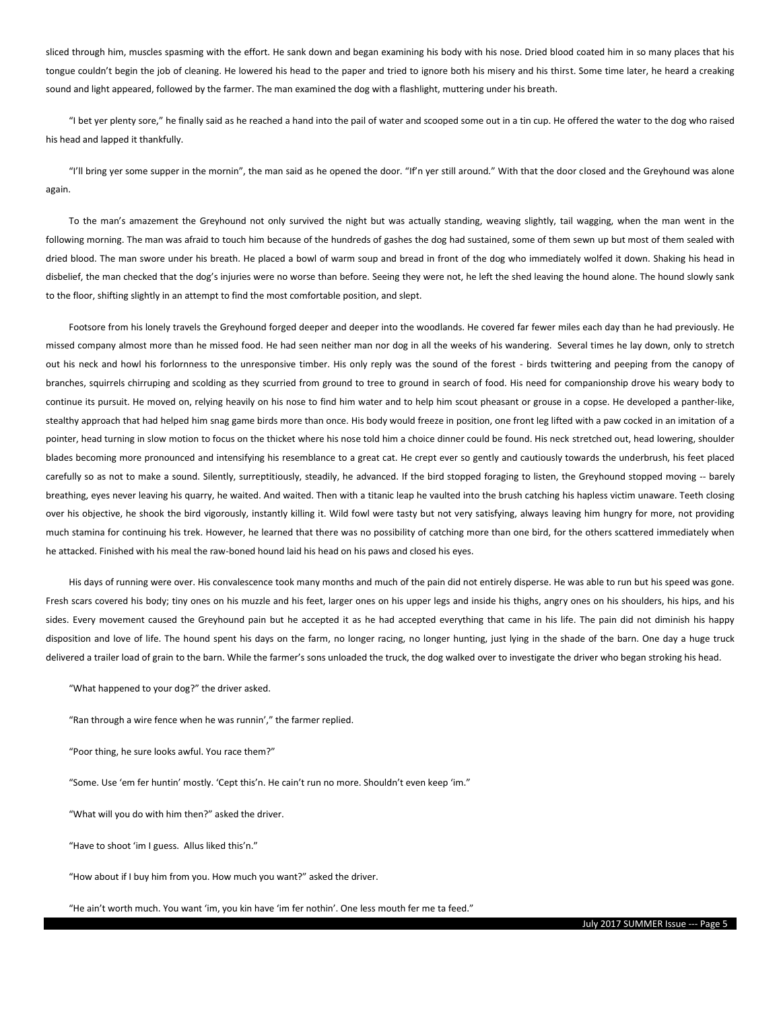sliced through him, muscles spasming with the effort. He sank down and began examining his body with his nose. Dried blood coated him in so many places that his tongue couldn't begin the job of cleaning. He lowered his head to the paper and tried to ignore both his misery and his thirst. Some time later, he heard a creaking sound and light appeared, followed by the farmer. The man examined the dog with a flashlight, muttering under his breath.

"I bet yer plenty sore," he finally said as he reached a hand into the pail of water and scooped some out in a tin cup. He offered the water to the dog who raised his head and lapped it thankfully.

"I'll bring yer some supper in the mornin", the man said as he opened the door. "If'n yer still around." With that the door closed and the Greyhound was alone again.

To the man's amazement the Greyhound not only survived the night but was actually standing, weaving slightly, tail wagging, when the man went in the following morning. The man was afraid to touch him because of the hundreds of gashes the dog had sustained, some of them sewn up but most of them sealed with dried blood. The man swore under his breath. He placed a bowl of warm soup and bread in front of the dog who immediately wolfed it down. Shaking his head in disbelief, the man checked that the dog's injuries were no worse than before. Seeing they were not, he left the shed leaving the hound alone. The hound slowly sank to the floor, shifting slightly in an attempt to find the most comfortable position, and slept.

Footsore from his lonely travels the Greyhound forged deeper and deeper into the woodlands. He covered far fewer miles each day than he had previously. He missed company almost more than he missed food. He had seen neither man nor dog in all the weeks of his wandering. Several times he lay down, only to stretch out his neck and howl his forlornness to the unresponsive timber. His only reply was the sound of the forest - birds twittering and peeping from the canopy of branches, squirrels chirruping and scolding as they scurried from ground to tree to ground in search of food. His need for companionship drove his weary body to continue its pursuit. He moved on, relying heavily on his nose to find him water and to help him scout pheasant or grouse in a copse. He developed a panther-like, stealthy approach that had helped him snag game birds more than once. His body would freeze in position, one front leg lifted with a paw cocked in an imitation of a pointer, head turning in slow motion to focus on the thicket where his nose told him a choice dinner could be found. His neck stretched out, head lowering, shoulder blades becoming more pronounced and intensifying his resemblance to a great cat. He crept ever so gently and cautiously towards the underbrush, his feet placed carefully so as not to make a sound. Silently, surreptitiously, steadily, he advanced. If the bird stopped foraging to listen, the Greyhound stopped moving -- barely breathing, eyes never leaving his quarry, he waited. And waited. Then with a titanic leap he vaulted into the brush catching his hapless victim unaware. Teeth closing over his objective, he shook the bird vigorously, instantly killing it. Wild fowl were tasty but not very satisfying, always leaving him hungry for more, not providing much stamina for continuing his trek. However, he learned that there was no possibility of catching more than one bird, for the others scattered immediately when he attacked. Finished with his meal the raw-boned hound laid his head on his paws and closed his eyes.

His days of running were over. His convalescence took many months and much of the pain did not entirely disperse. He was able to run but his speed was gone. Fresh scars covered his body; tiny ones on his muzzle and his feet, larger ones on his upper legs and inside his thighs, angry ones on his shoulders, his hips, and his sides. Every movement caused the Greyhound pain but he accepted it as he had accepted everything that came in his life. The pain did not diminish his happy disposition and love of life. The hound spent his days on the farm, no longer racing, no longer hunting, just lying in the shade of the barn. One day a huge truck delivered a trailer load of grain to the barn. While the farmer's sons unloaded the truck, the dog walked over to investigate the driver who began stroking his head.

"What happened to your dog?" the driver asked.

"Ran through a wire fence when he was runnin'," the farmer replied.

"Poor thing, he sure looks awful. You race them?"

"Some. Use 'em fer huntin' mostly. 'Cept this'n. He cain't run no more. Shouldn't even keep 'im."

"What will you do with him then?" asked the driver.

"Have to shoot 'im I guess. Allus liked this'n."

"How about if I buy him from you. How much you want?" asked the driver.

"He ain't worth much. You want 'im, you kin have 'im fer nothin'. One less mouth fer me ta feed."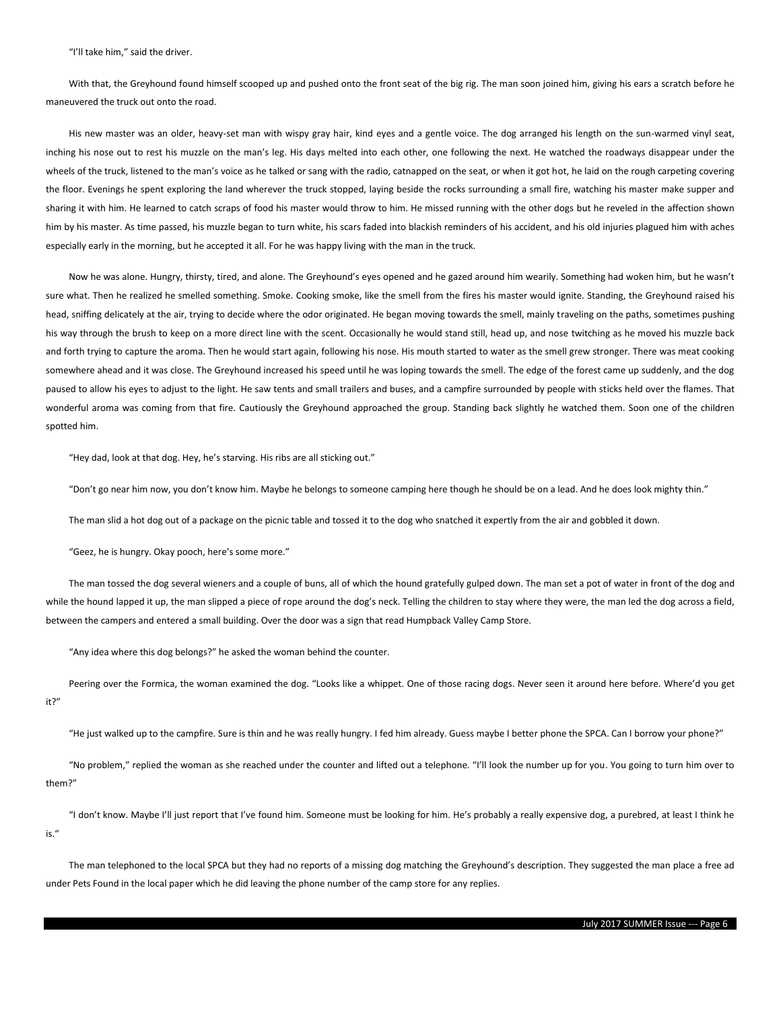"I'll take him," said the driver.

With that, the Greyhound found himself scooped up and pushed onto the front seat of the big rig. The man soon joined him, giving his ears a scratch before he maneuvered the truck out onto the road.

His new master was an older, heavy-set man with wispy gray hair, kind eyes and a gentle voice. The dog arranged his length on the sun-warmed vinyl seat, inching his nose out to rest his muzzle on the man's leg. His days melted into each other, one following the next. He watched the roadways disappear under the wheels of the truck, listened to the man's voice as he talked or sang with the radio, catnapped on the seat, or when it got hot, he laid on the rough carpeting covering the floor. Evenings he spent exploring the land wherever the truck stopped, laying beside the rocks surrounding a small fire, watching his master make supper and sharing it with him. He learned to catch scraps of food his master would throw to him. He missed running with the other dogs but he reveled in the affection shown him by his master. As time passed, his muzzle began to turn white, his scars faded into blackish reminders of his accident, and his old injuries plagued him with aches especially early in the morning, but he accepted it all. For he was happy living with the man in the truck.

Now he was alone. Hungry, thirsty, tired, and alone. The Greyhound's eyes opened and he gazed around him wearily. Something had woken him, but he wasn't sure what. Then he realized he smelled something. Smoke. Cooking smoke, like the smell from the fires his master would ignite. Standing, the Greyhound raised his head, sniffing delicately at the air, trying to decide where the odor originated. He began moving towards the smell, mainly traveling on the paths, sometimes pushing his way through the brush to keep on a more direct line with the scent. Occasionally he would stand still, head up, and nose twitching as he moved his muzzle back and forth trying to capture the aroma. Then he would start again, following his nose. His mouth started to water as the smell grew stronger. There was meat cooking somewhere ahead and it was close. The Greyhound increased his speed until he was loping towards the smell. The edge of the forest came up suddenly, and the dog paused to allow his eyes to adjust to the light. He saw tents and small trailers and buses, and a campfire surrounded by people with sticks held over the flames. That wonderful aroma was coming from that fire. Cautiously the Greyhound approached the group. Standing back slightly he watched them. Soon one of the children spotted him.

"Hey dad, look at that dog. Hey, he's starving. His ribs are all sticking out."

"Don't go near him now, you don't know him. Maybe he belongs to someone camping here though he should be on a lead. And he does look mighty thin."

The man slid a hot dog out of a package on the picnic table and tossed it to the dog who snatched it expertly from the air and gobbled it down.

"Geez, he is hungry. Okay pooch, here's some more."

The man tossed the dog several wieners and a couple of buns, all of which the hound gratefully gulped down. The man set a pot of water in front of the dog and while the hound lapped it up, the man slipped a piece of rope around the dog's neck. Telling the children to stay where they were, the man led the dog across a field, between the campers and entered a small building. Over the door was a sign that read Humpback Valley Camp Store.

"Any idea where this dog belongs?" he asked the woman behind the counter.

Peering over the Formica, the woman examined the dog. "Looks like a whippet. One of those racing dogs. Never seen it around here before. Where'd you get it?"

"He just walked up to the campfire. Sure is thin and he was really hungry. I fed him already. Guess maybe I better phone the SPCA. Can I borrow your phone?"

"No problem," replied the woman as she reached under the counter and lifted out a telephone. "I'll look the number up for you. You going to turn him over to them?"

"I don't know. Maybe I'll just report that I've found him. Someone must be looking for him. He's probably a really expensive dog, a purebred, at least I think he is."

The man telephoned to the local SPCA but they had no reports of a missing dog matching the Greyhound's description. They suggested the man place a free ad under Pets Found in the local paper which he did leaving the phone number of the camp store for any replies.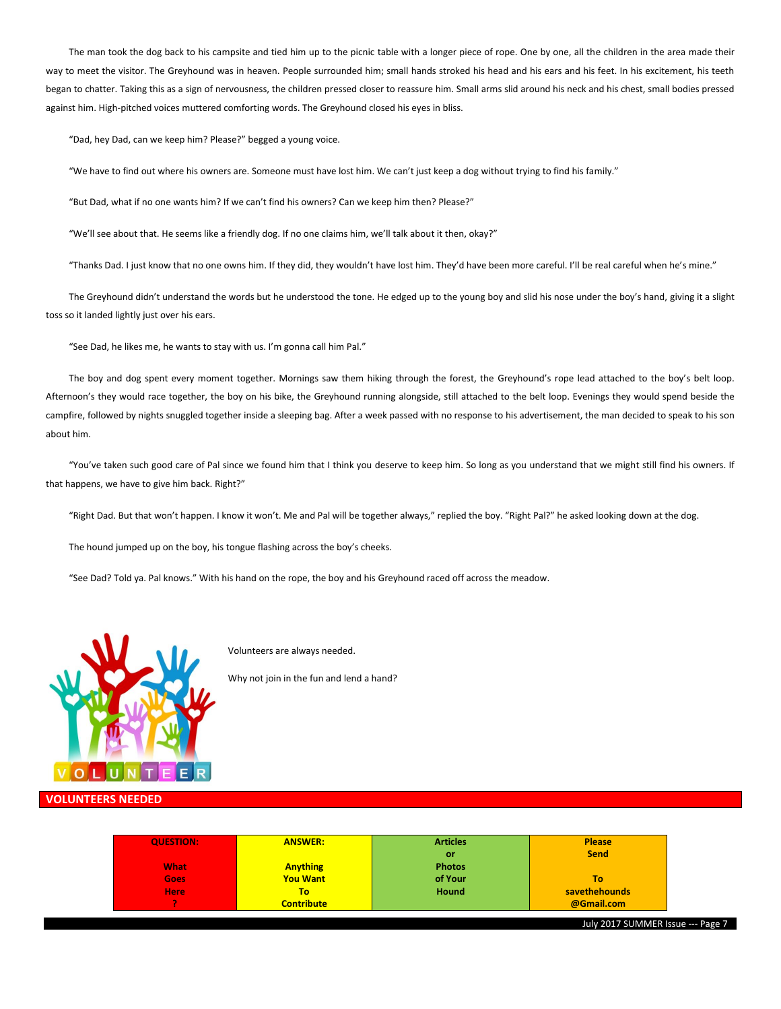The man took the dog back to his campsite and tied him up to the picnic table with a longer piece of rope. One by one, all the children in the area made their way to meet the visitor. The Greyhound was in heaven. People surrounded him; small hands stroked his head and his ears and his feet. In his excitement, his teeth began to chatter. Taking this as a sign of nervousness, the children pressed closer to reassure him. Small arms slid around his neck and his chest, small bodies pressed against him. High-pitched voices muttered comforting words. The Greyhound closed his eyes in bliss.

"Dad, hey Dad, can we keep him? Please?" begged a young voice.

"We have to find out where his owners are. Someone must have lost him. We can't just keep a dog without trying to find his family."

"But Dad, what if no one wants him? If we can't find his owners? Can we keep him then? Please?"

"We'll see about that. He seems like a friendly dog. If no one claims him, we'll talk about it then, okay?"

"Thanks Dad. I just know that no one owns him. If they did, they wouldn't have lost him. They'd have been more careful. I'll be real careful when he's mine."

The Greyhound didn't understand the words but he understood the tone. He edged up to the young boy and slid his nose under the boy's hand, giving it a slight toss so it landed lightly just over his ears.

"See Dad, he likes me, he wants to stay with us. I'm gonna call him Pal."

The boy and dog spent every moment together. Mornings saw them hiking through the forest, the Greyhound's rope lead attached to the boy's belt loop. Afternoon's they would race together, the boy on his bike, the Greyhound running alongside, still attached to the belt loop. Evenings they would spend beside the campfire, followed by nights snuggled together inside a sleeping bag. After a week passed with no response to his advertisement, the man decided to speak to his son about him.

"You've taken such good care of Pal since we found him that I think you deserve to keep him. So long as you understand that we might still find his owners. If that happens, we have to give him back. Right?"

"Right Dad. But that won't happen. I know it won't. Me and Pal will be together always," replied the boy. "Right Pal?" he asked looking down at the dog.

The hound jumped up on the boy, his tongue flashing across the boy's cheeks.

"See Dad? Told ya. Pal knows." With his hand on the rope, the boy and his Greyhound raced off across the meadow.



Volunteers are always needed.

Why not join in the fun and lend a hand?

### **VOLUNTEERS NEEDED**

| <b>QUESTION:</b> | <b>ANSWER:</b>    | <b>Articles</b> | <b>Please</b> |
|------------------|-------------------|-----------------|---------------|
|                  |                   | or              | <b>Send</b>   |
| <b>What</b>      | <b>Anything</b>   | <b>Photos</b>   |               |
| Goes             | <b>You Want</b>   | of Your         | To            |
| <b>Here</b>      | To                | <b>Hound</b>    | savethehounds |
|                  | <b>Contribute</b> |                 | @Gmail.com    |

July 2017 SUMMER Issue --- Page 7